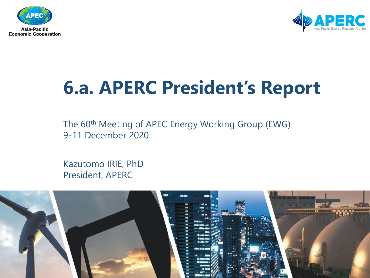



# **6.a. APERC President's Report**

The 60<sup>th</sup> Meeting of APEC Energy Working Group (EWG) 9-11 December 2020

Kazutomo IRIE, PhD President, APERC

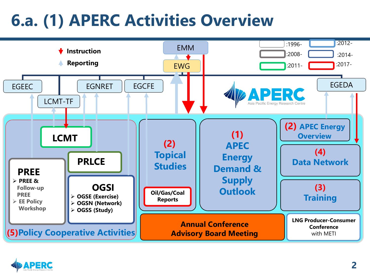### **6.a. (1) APERC Activities Overview**



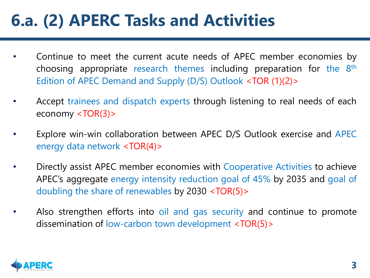### **6.a. (2) APERC Tasks and Activities**

- Continue to meet the current acute needs of APEC member economies by choosing appropriate research themes including preparation for the 8th Edition of APEC Demand and Supply (D/S) Outlook <TOR (1)(2)>
- Accept trainees and dispatch experts through listening to real needs of each economy <TOR(3)>
- Explore win-win collaboration between APEC D/S Outlook exercise and APEC energy data network <TOR(4)>
- Directly assist APEC member economies with Cooperative Activities to achieve APEC's aggregate energy intensity reduction goal of 45% by 2035 and goal of doubling the share of renewables by 2030 <TOR(5)>
- Also strengthen efforts into oil and gas security and continue to promote dissemination of low-carbon town development <TOR(5)>

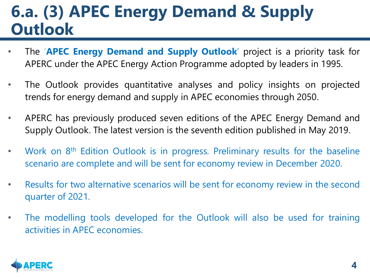### **6.a. (3) APEC Energy Demand & Supply Outlook**

- The '**APEC Energy Demand and Supply Outlook**' project is a priority task for APERC under the APEC Energy Action Programme adopted by leaders in 1995.
- The Outlook provides quantitative analyses and policy insights on projected trends for energy demand and supply in APEC economies through 2050.
- APERC has previously produced seven editions of the APEC Energy Demand and Supply Outlook. The latest version is the seventh edition published in May 2019.
- Work on 8<sup>th</sup> Edition Outlook is in progress. Preliminary results for the baseline scenario are complete and will be sent for economy review in December 2020.
- Results for two alternative scenarios will be sent for economy review in the second quarter of 2021.
- The modelling tools developed for the Outlook will also be used for training activities in APEC economies.

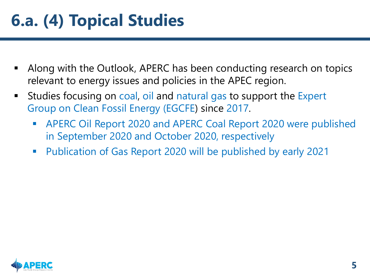### **6.a. (4) Topical Studies**

- Along with the Outlook, APERC has been conducting research on topics relevant to energy issues and policies in the APEC region.
- Studies focusing on coal, oil and natural gas to support the Expert Group on Clean Fossil Energy (EGCFE) since 2017.
	- APERC Oil Report 2020 and APERC Coal Report 2020 were published in September 2020 and October 2020, respectively
	- Publication of Gas Report 2020 will be published by early 2021

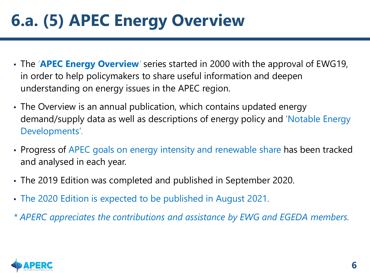## **6.a. (5) APEC Energy Overview**

- The '**APEC Energy Overview***'* series started in 2000 with the approval of EWG19, in order to help policymakers to share useful information and deepen understanding on energy issues in the APEC region.
- The Overview is an annual publication, which contains updated energy demand/supply data as well as descriptions of energy policy and 'Notable Energy Developments'.
- Progress of APEC goals on energy intensity and renewable share has been tracked and analysed in each year.
- The 2019 Edition was completed and published in September 2020.
- The 2020 Edition is expected to be published in August 2021.
- *\* APERC appreciates the contributions and assistance by EWG and EGEDA members.*

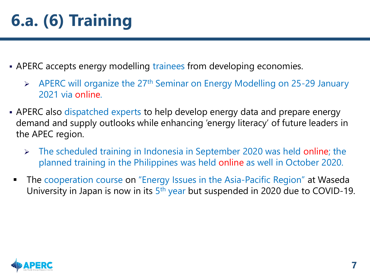- APERC accepts energy modelling trainees from developing economies.
	- $\triangleright$  APERC will organize the 27<sup>th</sup> Seminar on Energy Modelling on 25-29 January 2021 via online.
- APERC also dispatched experts to help develop energy data and prepare energy demand and supply outlooks while enhancing 'energy literacy' of future leaders in the APEC region.
	- $\triangleright$  The scheduled training in Indonesia in September 2020 was held online; the planned training in the Philippines was held online as well in October 2020.
	- The cooperation course on "Energy Issues in the Asia-Pacific Region" at Waseda University in Japan is now in its 5th year but suspended in 2020 due to COVID-19.

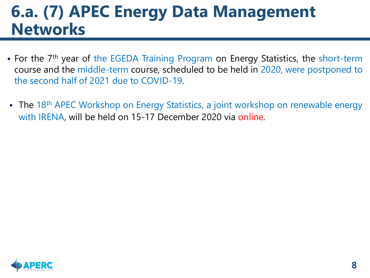### **6.a. (7) APEC Energy Data Management Networks**

- For the 7<sup>th</sup> year of the EGEDA Training Program on Energy Statistics, the short-term course and the middle-term course, scheduled to be held in 2020, were postponed to the second half of 2021 due to COVID-19.
- The 18<sup>th</sup> APEC Workshop on Energy Statistics, a joint workshop on renewable energy with IRENA, will be held on 15-17 December 2020 via online.

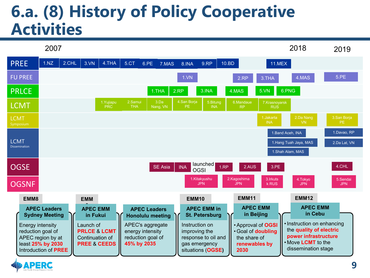### **6.a. (8) History of Policy Cooperative Activities**



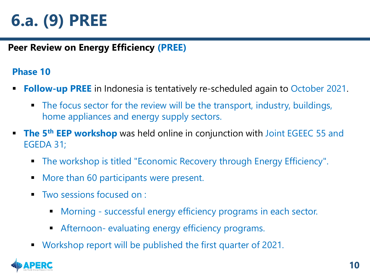### **6.a. (9) PREE**

#### **Peer Review on Energy Efficiency (PREE)**

#### **Phase 10**

- **Follow-up PREE** in Indonesia is tentatively re-scheduled again to October 2021.
	- The focus sector for the review will be the transport, industry, buildings, home appliances and energy supply sectors.
- **The 5<sup>th</sup> EEP workshop** was held online in conjunction with Joint EGEEC 55 and EGEDA 31;
	- The workshop is titled "Economic Recovery through Energy Efficiency".
	- **More than 60 participants were present.**
	- Two sessions focused on :
		- Morning successful energy efficiency programs in each sector.
		- Afternoon- evaluating energy efficiency programs.
	- Workshop report will be published the first quarter of 2021.

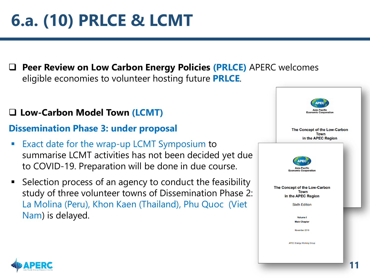## **6.a. (10) PRLCE & LCMT**

 **Peer Review on Low Carbon Energy Policies (PRLCE)** APERC welcomes eligible economies to volunteer hosting future **PRLCE**.

#### **Low-Carbon Model Town (LCMT)**

#### **Dissemination Phase 3: under proposal**

- Exact date for the wrap-up LCMT Symposium to summarise LCMT activities has not been decided yet due to COVID-19. Preparation will be done in due course.
- Selection process of an agency to conduct the feasibility study of three volunteer towns of Dissemination Phase 2: La Molina (Peru), Khon Kaen (Thailand), Phu Quoc (Viet Nam) is delayed.



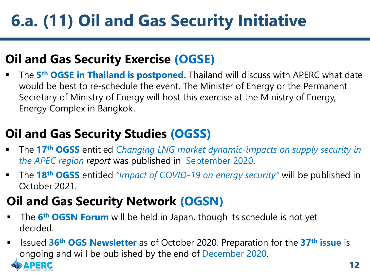## **6.a. (11) Oil and Gas Security Initiative**

### **Oil and Gas Security Exercise (OGSE)**

 The **5th OGSE in Thailand is postponed.** Thailand will discuss with APERC what date would be best to re-schedule the event. The Minister of Energy or the Permanent Secretary of Ministry of Energy will host this exercise at the Ministry of Energy, Energy Complex in Bangkok.

### **Oil and Gas Security Studies (OGSS)**

- The **17th OGSS** entitled *Changing LNG market dynamic-impacts on supply security in the APEC region report* was published in September 2020.
- The **18th OGSS** entitled *"Impact of COVID-19 on energy security"* will be published in October 2021.

### **Oil and Gas Security Network (OGSN)**

- **The 6<sup>th</sup> OGSN Forum** will be held in Japan, though its schedule is not yet decided.
- Issued **36th OGS Newsletter** as of October 2020. Preparation for the **37th issue** is ongoing and will be published by the end of December 2020.

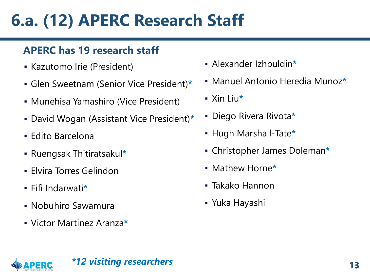### **6.a. (12) APERC Research Staff**

#### **APERC has 19 research staff**

- Kazutomo Irie (President)
- Glen Sweetnam (Senior Vice President)**\***
- Munehisa Yamashiro (Vice President)
- David Wogan (Assistant Vice President)**\***
- Edito Barcelona
- Ruengsak Thitiratsakul**\***
- **Elvira Torres Gelindon**
- Fifi Indarwati**\***
- Nobuhiro Sawamura
- Victor Martinez Aranza**\***
- Alexander Izhbuldin**\***
- Manuel Antonio Heredia Munoz**\***
- Xin Liu**\***
- Diego Rivera Rivota**\***
- Hugh Marshall-Tate**\***
- Christopher James Doleman**\***
- Mathew Horne**\***
- Takako Hannon
- Yuka Hayashi

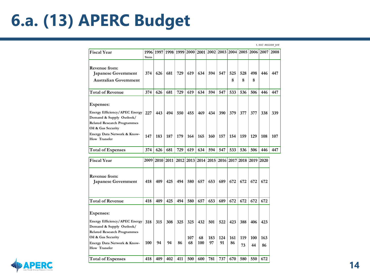### **6.a. (13) APERC Budget**

*Unit: million yen*

| <b>Fiscal Year</b>                                                                                                                                                                       | 1996<br>9mns | 1997      |           | 1998 1999 2000 2001 2002 2003 2004 2005 2006 2007 |                  |                  |                  |                  |                  |                  |                  |                  | 2008 |
|------------------------------------------------------------------------------------------------------------------------------------------------------------------------------------------|--------------|-----------|-----------|---------------------------------------------------|------------------|------------------|------------------|------------------|------------------|------------------|------------------|------------------|------|
| Revenue from:<br>Japanese Government<br><b>Australian Government</b>                                                                                                                     | 374          | 626       | 681       | 729                                               | 619              | 634              | 594              | 547              | 525<br>8         | 528<br>8         | 498<br>8         | 446              | 447  |
| <b>Total of Revenue</b>                                                                                                                                                                  | 374          | 626       | 681       | 729                                               | 619              | 634              | 594              | 547              | 533              | 536              | 506              | 446              | 447  |
| Expenses:<br>Energy Efficiency/APEC Energy<br>Demand & Supply Outlook/<br><b>Related Research Programmes</b><br>Oil & Gas Security                                                       | 227          | 443       | 494       | 550                                               | 455              | 469              | 434              | 390              | 379              | 377              | 377              | 338              | 339  |
| Energy Data Network & Know-<br>How Transfer                                                                                                                                              | 147          | 183       | 187       | 179                                               | 164              | 165              | 160              | 157              | 154              | 159              | 129              | 108              | 107  |
| <b>Total of Expenses</b>                                                                                                                                                                 | 374          | 626       | 681       | 729                                               | 619              | 634              | 594              | 547              | 533              | 536              | 506              | 446              | 447  |
| <b>Fiscal Year</b>                                                                                                                                                                       | 2009         | 2010      | 2011      | 2012                                              | 2013             | 2014             | 2015             | 2016             | 2017             | 2018             | 2019             | 2020             |      |
| Revenue from:<br><b>Japanese Government</b>                                                                                                                                              | 418          | 409       | 425       | 494                                               | 580              |                  | 653              | 689              |                  |                  |                  | 672              |      |
|                                                                                                                                                                                          |              |           |           |                                                   |                  | 657              |                  |                  | 672              | 672              | 672              |                  |      |
| <b>Total of Revenue</b>                                                                                                                                                                  | 418          | 409       | 425       | 494                                               | 580              | 657              | 653              | 689              | 672              | 672              | 672              | 672              |      |
| <b>Expenses:</b><br>Energy Efficiency/APEC Energy<br>Demand & Supply Outlook/<br><b>Related Research Programmes</b><br>Oil & Gas Security<br>Energy Data Network & Know-<br>How Transfer | 318<br>100   | 315<br>94 | 308<br>94 | 325<br>86                                         | 325<br>107<br>68 | 432<br>68<br>100 | 501<br>183<br>97 | 522<br>124<br>91 | 423<br>161<br>86 | 388<br>119<br>73 | 406<br>100<br>44 | 423<br>163<br>86 |      |